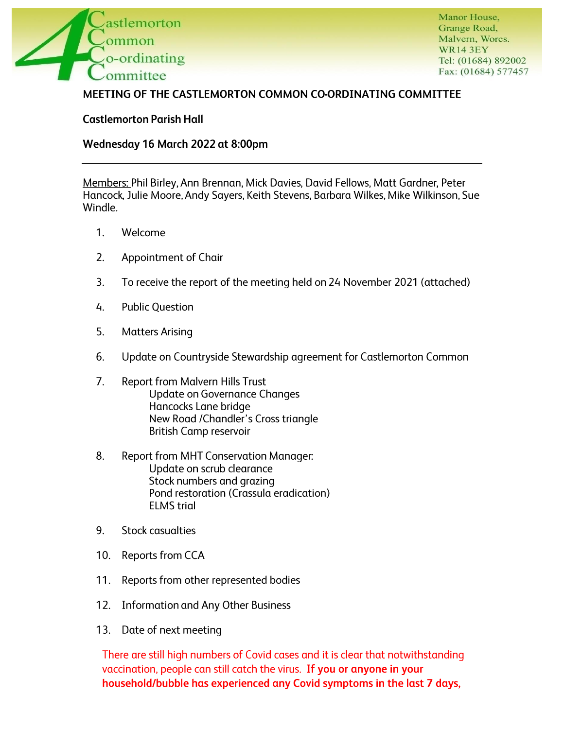

Manor House, Grange Road, Malvern, Worcs. WR14 3EY Tel: (01684) 892002 Fax: (01684) 577457

## **MEETING OF THE CASTLEMORTON COMMON CO-ORDINATING COMMITTEE**

**Castlemorton Parish Hall** 

## **Wednesday 16 March 2022 at 8:00pm**

Members: Phil Birley, Ann Brennan, Mick Davies, David Fellows, Matt Gardner, Peter Hancock, Julie Moore, Andy Sayers, Keith Stevens, Barbara Wilkes, Mike Wilkinson, Sue Windle.

- 1. Welcome
- 2. Appointment of Chair
- 3. To receive the report of the meeting held on 24 November 2021 (attached)
- 4. Public Question
- 5. Matters Arising
- 6. Update on Countryside Stewardship agreement for Castlemorton Common
- 7. Report from Malvern Hills Trust Update on Governance Changes Hancocks Lane bridge New Road /Chandler's Cross triangle British Camp reservoir
- 8. Report from MHT Conservation Manager: Update on scrub clearance Stock numbers and grazing Pond restoration (Crassula eradication) ELMS trial
- 9. Stock casualties
- 10. Reports from CCA
- 11. Reports from other represented bodies
- 12. Information and Any Other Business
- 13. Date of next meeting

There are still high numbers of Covid cases and it is clear that notwithstanding vaccination, people can still catch the virus. If **you or anyone in your household/bubble has experienced any Covid symptoms in the last 7 days,**